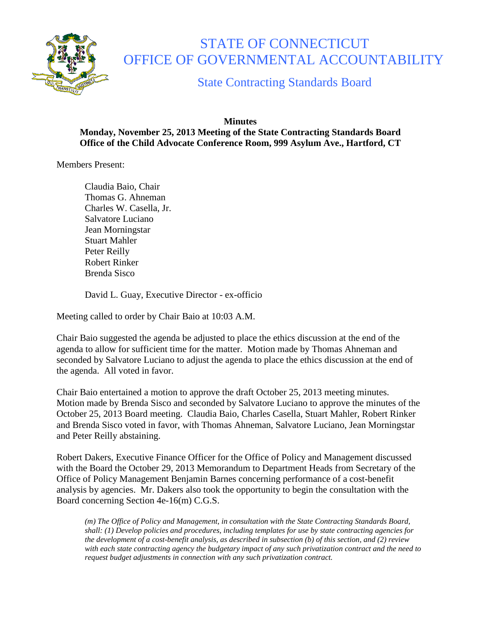

## STATE OF CONNECTICUT OFFICE OF GOVERNMENTAL ACCOUNTABILITY

State Contracting Standards Board

## **Minutes Monday, November 25, 2013 Meeting of the State Contracting Standards Board Office of the Child Advocate Conference Room, 999 Asylum Ave., Hartford, CT**

Members Present:

Claudia Baio, Chair Thomas G. Ahneman Charles W. Casella, Jr. Salvatore Luciano Jean Morningstar Stuart Mahler Peter Reilly Robert Rinker Brenda Sisco

David L. Guay, Executive Director - ex-officio

Meeting called to order by Chair Baio at 10:03 A.M.

Chair Baio suggested the agenda be adjusted to place the ethics discussion at the end of the agenda to allow for sufficient time for the matter. Motion made by Thomas Ahneman and seconded by Salvatore Luciano to adjust the agenda to place the ethics discussion at the end of the agenda. All voted in favor.

Chair Baio entertained a motion to approve the draft October 25, 2013 meeting minutes. Motion made by Brenda Sisco and seconded by Salvatore Luciano to approve the minutes of the October 25, 2013 Board meeting. Claudia Baio, Charles Casella, Stuart Mahler, Robert Rinker and Brenda Sisco voted in favor, with Thomas Ahneman, Salvatore Luciano, Jean Morningstar and Peter Reilly abstaining.

Robert Dakers, Executive Finance Officer for the Office of Policy and Management discussed with the Board the October 29, 2013 Memorandum to Department Heads from Secretary of the Office of Policy Management Benjamin Barnes concerning performance of a cost-benefit analysis by agencies. Mr. Dakers also took the opportunity to begin the consultation with the Board concerning Section 4e-16(m) C.G.S.

*(m) The Office of Policy and Management, in consultation with the State Contracting Standards Board, shall: (1) Develop policies and procedures, including templates for use by state contracting agencies for the development of a cost-benefit analysis, as described in subsection (b) of this section, and (2) review with each state contracting agency the budgetary impact of any such privatization contract and the need to request budget adjustments in connection with any such privatization contract.*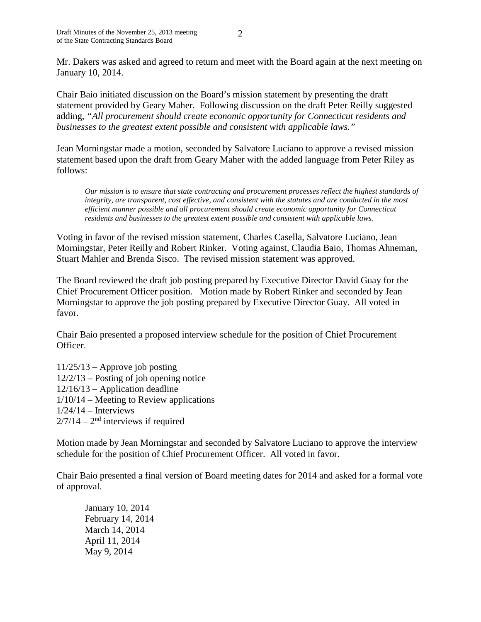Mr. Dakers was asked and agreed to return and meet with the Board again at the next meeting on January 10, 2014.

Chair Baio initiated discussion on the Board's mission statement by presenting the draft statement provided by Geary Maher. Following discussion on the draft Peter Reilly suggested adding, *"All procurement should create economic opportunity for Connecticut residents and businesses to the greatest extent possible and consistent with applicable laws."*

Jean Morningstar made a motion, seconded by Salvatore Luciano to approve a revised mission statement based upon the draft from Geary Maher with the added language from Peter Riley as follows:

*Our mission is to ensure that state contracting and procurement processes reflect the highest standards of integrity, are transparent, cost effective, and consistent with the statutes and are conducted in the most efficient manner possible and all procurement should create economic opportunity for Connecticut residents and businesses to the greatest extent possible and consistent with applicable laws.*

Voting in favor of the revised mission statement, Charles Casella, Salvatore Luciano, Jean Morningstar, Peter Reilly and Robert Rinker. Voting against, Claudia Baio, Thomas Ahneman, Stuart Mahler and Brenda Sisco. The revised mission statement was approved.

The Board reviewed the draft job posting prepared by Executive Director David Guay for the Chief Procurement Officer position. Motion made by Robert Rinker and seconded by Jean Morningstar to approve the job posting prepared by Executive Director Guay. All voted in favor.

Chair Baio presented a proposed interview schedule for the position of Chief Procurement Officer.

 $11/25/13$  – Approve job posting 12/2/13 – Posting of job opening notice 12/16/13 – Application deadline 1/10/14 – Meeting to Review applications  $1/24/14$  – Interviews  $2/7/14 - 2<sup>nd</sup>$  interviews if required

Motion made by Jean Morningstar and seconded by Salvatore Luciano to approve the interview schedule for the position of Chief Procurement Officer. All voted in favor.

Chair Baio presented a final version of Board meeting dates for 2014 and asked for a formal vote of approval.

January 10, 2014 February 14, 2014 March 14, 2014 April 11, 2014 May 9, 2014